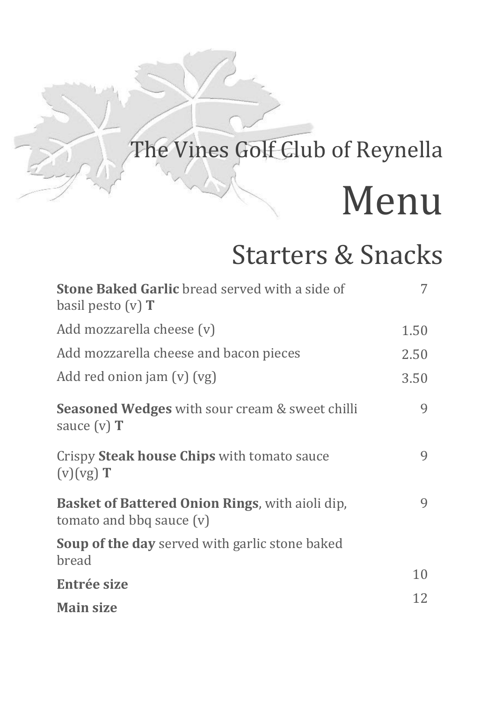# The Vines Golf Club of Reynella Menu

#### Starters & Snacks

| <b>Stone Baked Garlic</b> bread served with a side of<br>basil pesto $(v)$ T         |      |
|--------------------------------------------------------------------------------------|------|
| Add mozzarella cheese (v)                                                            | 1.50 |
| Add mozzarella cheese and bacon pieces                                               | 2.50 |
| Add red onion jam $(v)$ $(vg)$                                                       | 3.50 |
| <b>Seasoned Wedges</b> with sour cream & sweet chilli<br>sauce $(v)$ <b>T</b>        | 9    |
| Crispy Steak house Chips with tomato sauce<br>$(v)(vg)$ T                            | 9    |
| <b>Basket of Battered Onion Rings, with aioli dip,</b><br>tomato and bbq sauce $(v)$ | 9    |
| <b>Soup of the day</b> served with garlic stone baked<br>bread                       |      |
| Entrée size                                                                          | 10   |
| <b>Main size</b>                                                                     | 12   |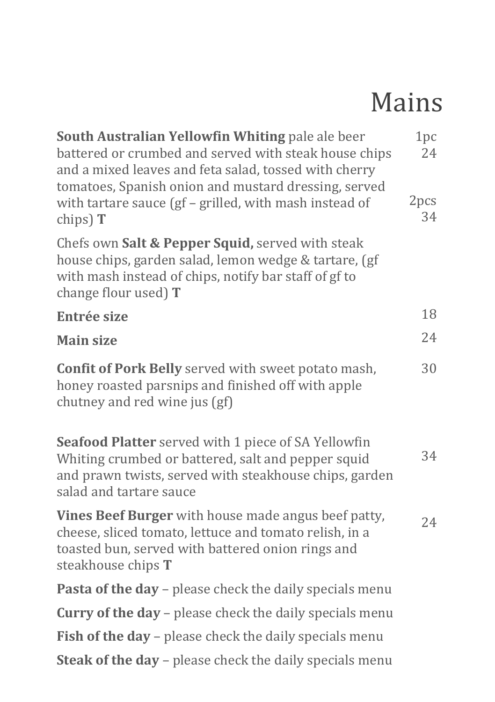## Mains

| South Australian Yellowfin Whiting pale ale beer<br>battered or crumbed and served with steak house chips<br>and a mixed leaves and feta salad, tossed with cherry<br>tomatoes, Spanish onion and mustard dressing, served | 1pc<br>24  |
|----------------------------------------------------------------------------------------------------------------------------------------------------------------------------------------------------------------------------|------------|
| with tartare sauce (gf - grilled, with mash instead of<br>chips) $T$                                                                                                                                                       | 2pcs<br>34 |
| Chefs own Salt & Pepper Squid, served with steak<br>house chips, garden salad, lemon wedge & tartare, (gf<br>with mash instead of chips, notify bar staff of gf to<br>change flour used) $T$                               |            |
| <b>Entrée size</b>                                                                                                                                                                                                         | 18         |
| <b>Main size</b>                                                                                                                                                                                                           | 24         |
| <b>Confit of Pork Belly</b> served with sweet potato mash,<br>honey roasted parsnips and finished off with apple<br>chutney and red wine jus (gf)                                                                          | 30         |
| Seafood Platter served with 1 piece of SA Yellowfin<br>Whiting crumbed or battered, salt and pepper squid<br>and prawn twists, served with steakhouse chips, garden<br>salad and tartare sauce                             | 34         |
| <b>Vines Beef Burger</b> with house made angus beef patty,<br>cheese, sliced tomato, lettuce and tomato relish, in a<br>toasted bun, served with battered onion rings and<br>steakhouse chips <b>T</b>                     | 24         |
| Pasta of the day - please check the daily specials menu                                                                                                                                                                    |            |
| <b>Curry of the day - please check the daily specials menu</b>                                                                                                                                                             |            |
| Fish of the day - please check the daily specials menu                                                                                                                                                                     |            |
| <b>Steak of the day –</b> please check the daily specials menu                                                                                                                                                             |            |
|                                                                                                                                                                                                                            |            |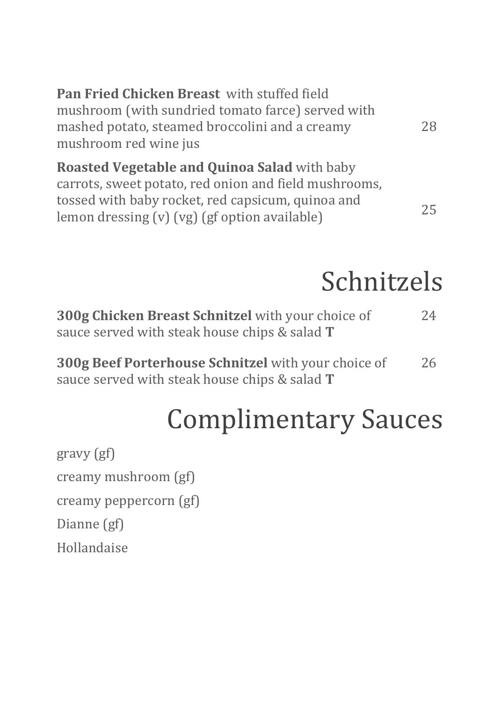| Pan Fried Chicken Breast with stuffed field                                                                                  |    |
|------------------------------------------------------------------------------------------------------------------------------|----|
| mushroom (with sundried tomato farce) served with<br>mashed potato, steamed broccolini and a creamy<br>mushroom red wine jus | 28 |
| Roasted Vegetable and Quinoa Salad with baby                                                                                 |    |
| carrots, sweet potato, red onion and field mushrooms,                                                                        |    |

### Schnitzels

| 300g Chicken Breast Schnitzel with your choice of<br>sauce served with steak house chips & salad <b>T</b>          | 24 |
|--------------------------------------------------------------------------------------------------------------------|----|
| <b>300g Beef Porterhouse Schnitzel</b> with your choice of<br>sauce served with steak house chips & salad <b>T</b> | 26 |

## Complimentary Sauces

gravy (gf) creamy mushroom (gf) creamy peppercorn (gf) Dianne (gf) Hollandaise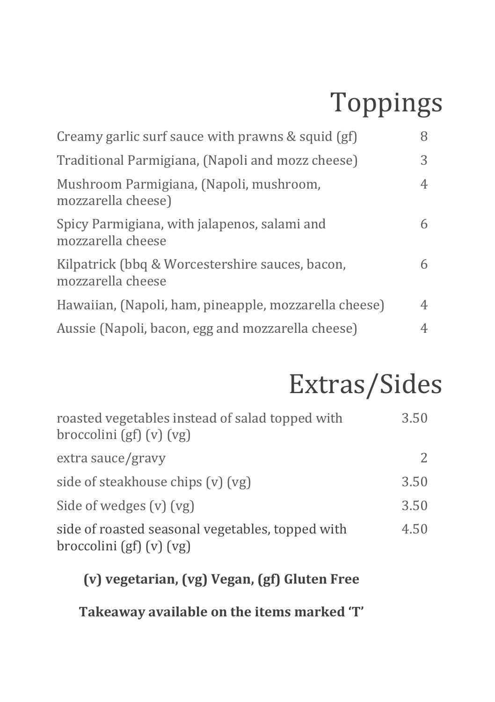## Toppings

| Creamy garlic surf sauce with prawns & squid (gf)                    | 8 |
|----------------------------------------------------------------------|---|
| Traditional Parmigiana, (Napoli and mozz cheese)                     | 3 |
| Mushroom Parmigiana, (Napoli, mushroom,<br>mozzarella cheese)        | 4 |
| Spicy Parmigiana, with jalapenos, salami and<br>mozzarella cheese    | 6 |
| Kilpatrick (bbq & Worcestershire sauces, bacon,<br>mozzarella cheese | 6 |
| Hawaiian, (Napoli, ham, pineapple, mozzarella cheese)                | 4 |
| Aussie (Napoli, bacon, egg and mozzarella cheese)                    | 4 |

## Extras/Sides

| roasted vegetables instead of salad topped with<br>$b$ roccolini (gf) $(v)$ $(vg)$ | 3.50 |
|------------------------------------------------------------------------------------|------|
| extra sauce/gravy                                                                  |      |
| side of steakhouse chips (v) (vg)                                                  | 3.50 |
| Side of wedges $(v)$ $(vg)$                                                        | 3.50 |
| side of roasted seasonal vegetables, topped with<br>broccolini (gf) (v) (vg)       | 4.50 |

#### **(v) vegetarian, (vg) Vegan, (gf) Gluten Free**

**Takeaway available on the items marked 'T'**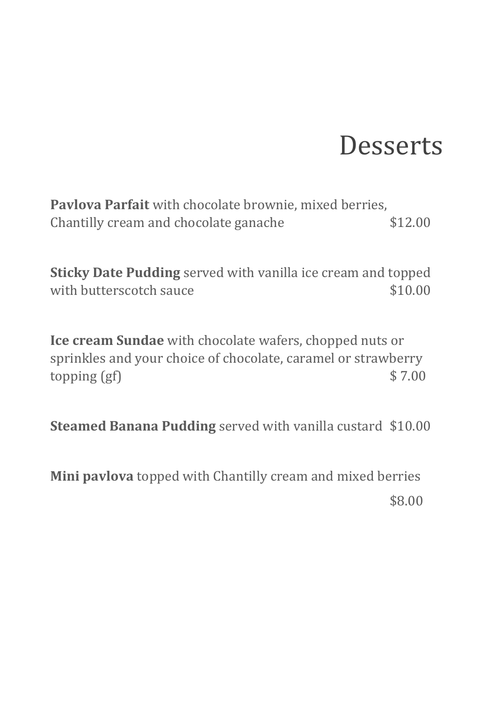#### **Desserts**

**Pavlova Parfait** with chocolate brownie, mixed berries, Chantilly cream and chocolate ganache \$12.00

**Sticky Date Pudding** served with vanilla ice cream and topped with butterscotch sauce  $$10.00$ 

**Ice cream Sundae** with chocolate wafers, chopped nuts or sprinkles and your choice of chocolate, caramel or strawberry topping  $(gf)$   $\frac{1}{2}$   $\frac{1}{2}$   $\frac{1}{2}$   $\frac{1}{2}$   $\frac{1}{2}$   $\frac{1}{2}$   $\frac{1}{2}$   $\frac{1}{2}$   $\frac{1}{2}$   $\frac{1}{2}$   $\frac{1}{2}$   $\frac{1}{2}$   $\frac{1}{2}$   $\frac{1}{2}$   $\frac{1}{2}$   $\frac{1}{2}$   $\frac{1}{2}$   $\frac{1}{2}$   $\frac{1}{2}$   $\frac{1}{2}$   $\frac{1}{2$ 

**Steamed Banana Pudding** served with vanilla custard \$10.00

**Mini pavlova** topped with Chantilly cream and mixed berries \$8.00